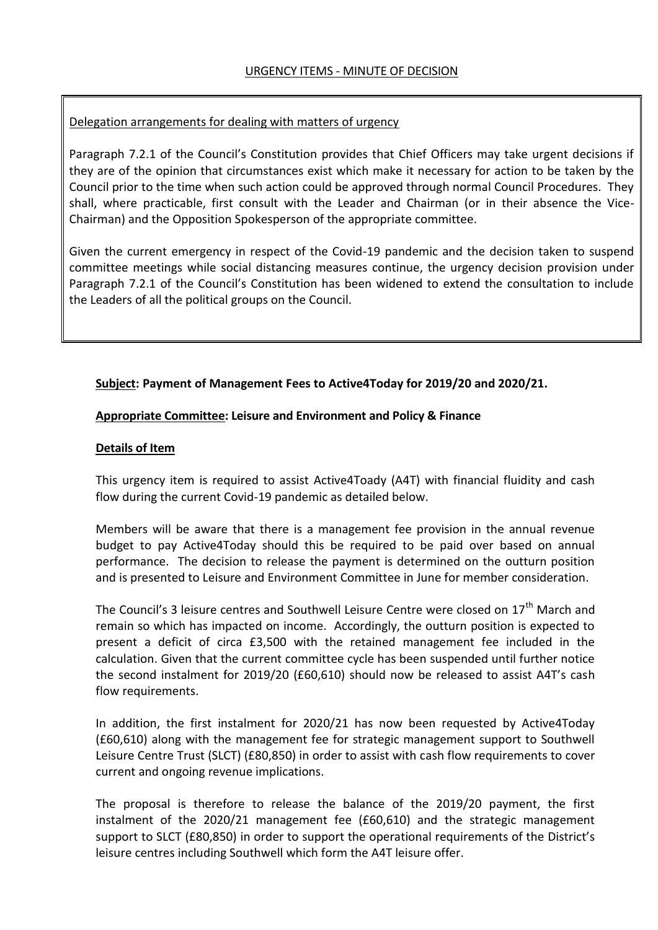## Delegation arrangements for dealing with matters of urgency

Paragraph 7.2.1 of the Council's Constitution provides that Chief Officers may take urgent decisions if they are of the opinion that circumstances exist which make it necessary for action to be taken by the Council prior to the time when such action could be approved through normal Council Procedures. They shall, where practicable, first consult with the Leader and Chairman (or in their absence the Vice-Chairman) and the Opposition Spokesperson of the appropriate committee.

Given the current emergency in respect of the Covid-19 pandemic and the decision taken to suspend committee meetings while social distancing measures continue, the urgency decision provision under Paragraph 7.2.1 of the Council's Constitution has been widened to extend the consultation to include the Leaders of all the political groups on the Council.

## **Subject: Payment of Management Fees to Active4Today for 2019/20 and 2020/21.**

## **Appropriate Committee: Leisure and Environment and Policy & Finance**

## **Details of Item**

This urgency item is required to assist Active4Toady (A4T) with financial fluidity and cash flow during the current Covid-19 pandemic as detailed below.

Members will be aware that there is a management fee provision in the annual revenue budget to pay Active4Today should this be required to be paid over based on annual performance. The decision to release the payment is determined on the outturn position and is presented to Leisure and Environment Committee in June for member consideration.

The Council's 3 leisure centres and Southwell Leisure Centre were closed on 17<sup>th</sup> March and remain so which has impacted on income. Accordingly, the outturn position is expected to present a deficit of circa £3,500 with the retained management fee included in the calculation. Given that the current committee cycle has been suspended until further notice the second instalment for 2019/20 (£60,610) should now be released to assist A4T's cash flow requirements.

In addition, the first instalment for 2020/21 has now been requested by Active4Today (£60,610) along with the management fee for strategic management support to Southwell Leisure Centre Trust (SLCT) (£80,850) in order to assist with cash flow requirements to cover current and ongoing revenue implications.

The proposal is therefore to release the balance of the 2019/20 payment, the first instalment of the 2020/21 management fee (£60,610) and the strategic management support to SLCT (£80,850) in order to support the operational requirements of the District's leisure centres including Southwell which form the A4T leisure offer.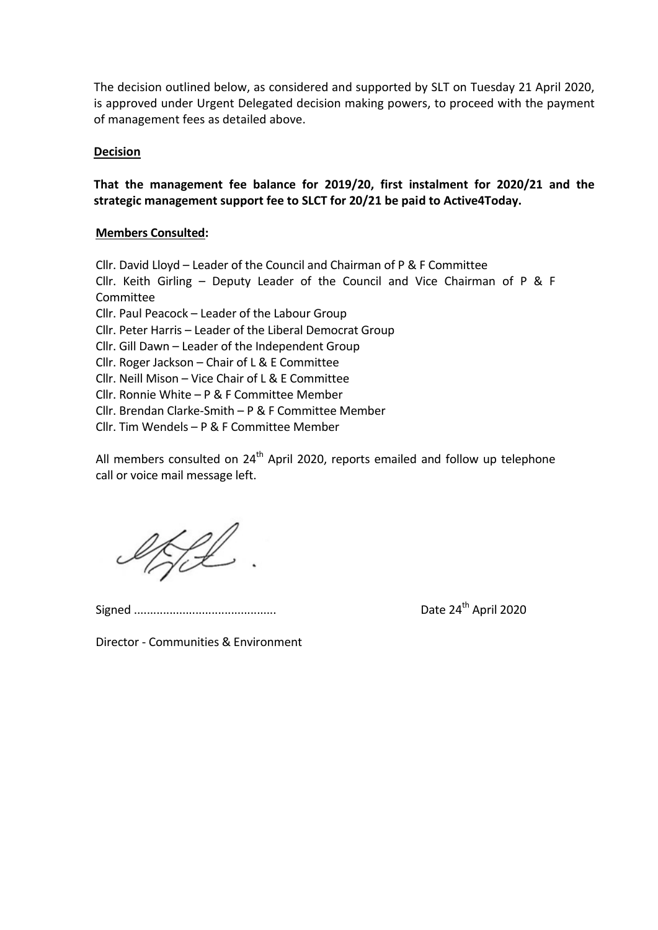The decision outlined below, as considered and supported by SLT on Tuesday 21 April 2020, is approved under Urgent Delegated decision making powers, to proceed with the payment of management fees as detailed above.

## **Decision**

# **That the management fee balance for 2019/20, first instalment for 2020/21 and the strategic management support fee to SLCT for 20/21 be paid to Active4Today.**

## **Members Consulted:**

Cllr. David Lloyd – Leader of the Council and Chairman of P & F Committee Cllr. Keith Girling – Deputy Leader of the Council and Vice Chairman of P & F Committee Cllr. Paul Peacock – Leader of the Labour Group Cllr. Peter Harris – Leader of the Liberal Democrat Group Cllr. Gill Dawn – Leader of the Independent Group Cllr. Roger Jackson – Chair of L & E Committee Cllr. Neill Mison – Vice Chair of L & E Committee Cllr. Ronnie White – P & F Committee Member Cllr. Brendan Clarke-Smith – P & F Committee Member Cllr. Tim Wendels – P & F Committee Member

All members consulted on 24<sup>th</sup> April 2020, reports emailed and follow up telephone call or voice mail message left.

HL.

Signed ............................................ Date 24th April 2020

Director - Communities & Environment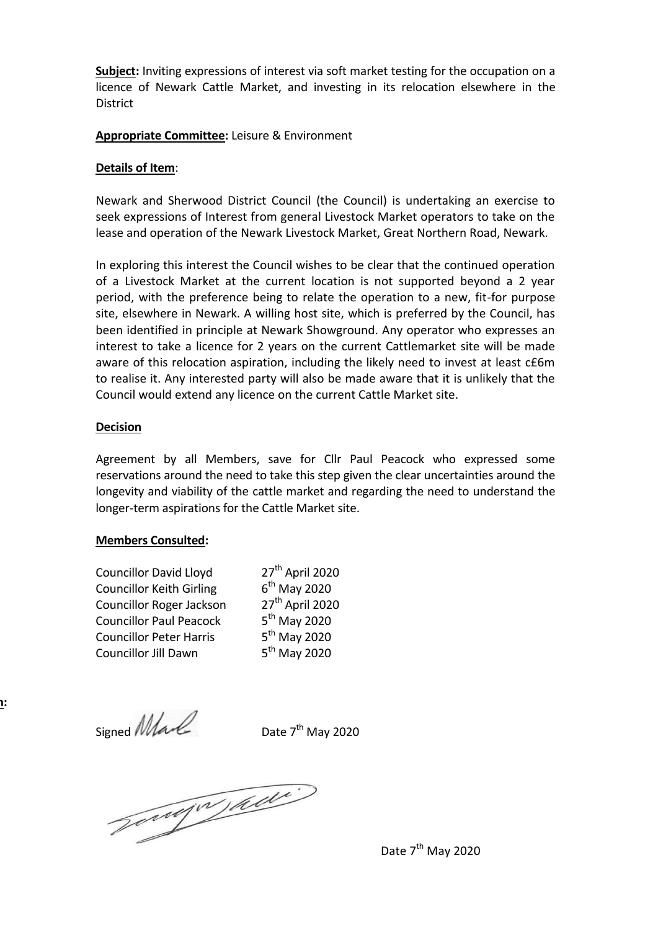**Subject:** Inviting expressions of interest via soft market testing for the occupation on a licence of Newark Cattle Market, and investing in its relocation elsewhere in the District

## **Appropriate Committee:** Leisure & Environment

#### **Details of Item**:

Newark and Sherwood District Council (the Council) is undertaking an exercise to seek expressions of Interest from general Livestock Market operators to take on the lease and operation of the Newark Livestock Market, Great Northern Road, Newark.

In exploring this interest the Council wishes to be clear that the continued operation of a Livestock Market at the current location is not supported beyond a 2 year period, with the preference being to relate the operation to a new, fit-for purpose site, elsewhere in Newark. A willing host site, which is preferred by the Council, has been identified in principle at Newark Showground. Any operator who expresses an interest to take a licence for 2 years on the current Cattlemarket site will be made aware of this relocation aspiration, including the likely need to invest at least c£6m to realise it. Any interested party will also be made aware that it is unlikely that the Council would extend any licence on the current Cattle Market site.

#### **Decision**

Agreement by all Members, save for Cllr Paul Peacock who expressed some reservations around the need to take this step given the clear uncertainties around the longevity and viability of the cattle market and regarding the need to understand the longer-term aspirations for the Cattle Market site.

## **Members Consulted:**

Councillor David Lloyd 27<sup>th</sup> April 2020 Councillor Keith Girling 6 Councillor Roger Jackson 27<sup>th</sup> April 2020 Councillor Paul Peacock 5 Councillor Peter Harris Councillor Jill Dawn 5

 $6<sup>th</sup>$  May 2020  $5^{\text{th}}$  May 2020  $5<sup>th</sup>$  May 2020  $5<sup>th</sup>$  Mav 2020

Signed *Mall* 

**Reason for Decision:**

Date  $7<sup>th</sup>$  May 2020

Jongw aw

Date 7<sup>th</sup> May 2020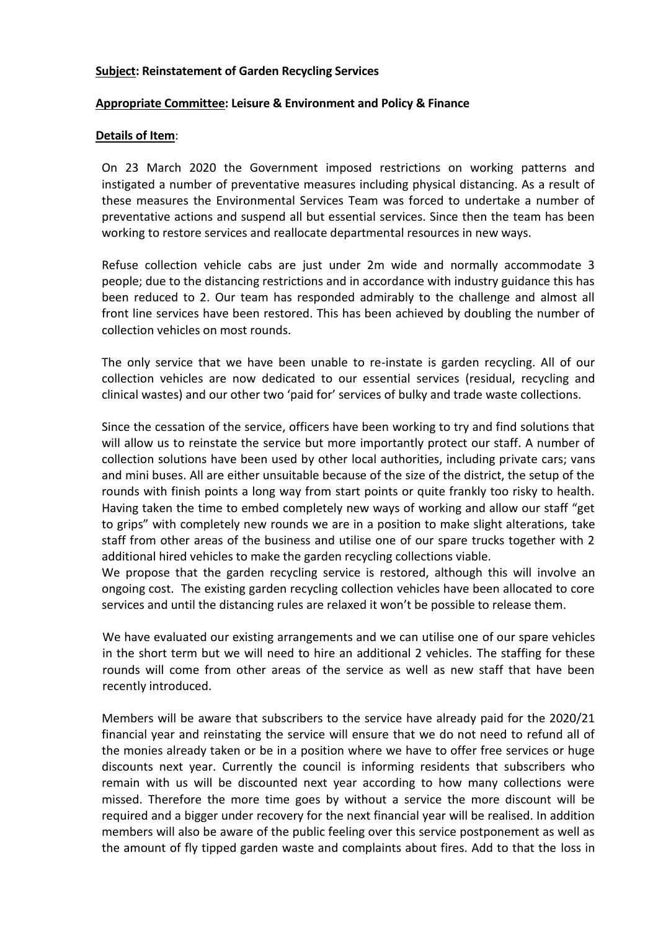## **Subject: Reinstatement of Garden Recycling Services**

## **Appropriate Committee: Leisure & Environment and Policy & Finance**

#### **Details of Item**:

On 23 March 2020 the Government imposed restrictions on working patterns and instigated a number of preventative measures including physical distancing. As a result of these measures the Environmental Services Team was forced to undertake a number of preventative actions and suspend all but essential services. Since then the team has been working to restore services and reallocate departmental resources in new ways.

Refuse collection vehicle cabs are just under 2m wide and normally accommodate 3 people; due to the distancing restrictions and in accordance with industry guidance this has been reduced to 2. Our team has responded admirably to the challenge and almost all front line services have been restored. This has been achieved by doubling the number of collection vehicles on most rounds.

The only service that we have been unable to re-instate is garden recycling. All of our collection vehicles are now dedicated to our essential services (residual, recycling and clinical wastes) and our other two 'paid for' services of bulky and trade waste collections.

Since the cessation of the service, officers have been working to try and find solutions that will allow us to reinstate the service but more importantly protect our staff. A number of collection solutions have been used by other local authorities, including private cars; vans and mini buses. All are either unsuitable because of the size of the district, the setup of the rounds with finish points a long way from start points or quite frankly too risky to health. Having taken the time to embed completely new ways of working and allow our staff "get to grips" with completely new rounds we are in a position to make slight alterations, take staff from other areas of the business and utilise one of our spare trucks together with 2 additional hired vehicles to make the garden recycling collections viable.

We propose that the garden recycling service is restored, although this will involve an ongoing cost. The existing garden recycling collection vehicles have been allocated to core services and until the distancing rules are relaxed it won't be possible to release them.

We have evaluated our existing arrangements and we can utilise one of our spare vehicles in the short term but we will need to hire an additional 2 vehicles. The staffing for these rounds will come from other areas of the service as well as new staff that have been recently introduced.

Members will be aware that subscribers to the service have already paid for the 2020/21 financial year and reinstating the service will ensure that we do not need to refund all of the monies already taken or be in a position where we have to offer free services or huge discounts next year. Currently the council is informing residents that subscribers who remain with us will be discounted next year according to how many collections were missed. Therefore the more time goes by without a service the more discount will be required and a bigger under recovery for the next financial year will be realised. In addition members will also be aware of the public feeling over this service postponement as well as the amount of fly tipped garden waste and complaints about fires. Add to that the loss in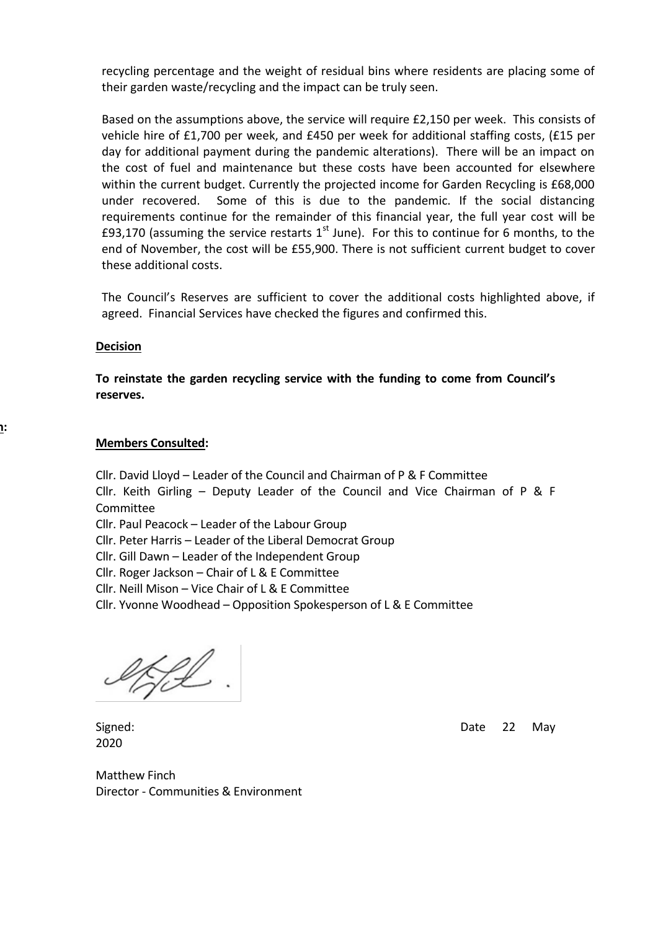recycling percentage and the weight of residual bins where residents are placing some of their garden waste/recycling and the impact can be truly seen.

Based on the assumptions above, the service will require £2,150 per week. This consists of vehicle hire of £1,700 per week, and £450 per week for additional staffing costs, (£15 per day for additional payment during the pandemic alterations). There will be an impact on the cost of fuel and maintenance but these costs have been accounted for elsewhere within the current budget. Currently the projected income for Garden Recycling is £68,000 under recovered. Some of this is due to the pandemic. If the social distancing requirements continue for the remainder of this financial year, the full year cost will be £93,170 (assuming the service restarts  $1<sup>st</sup>$  June). For this to continue for 6 months, to the end of November, the cost will be £55,900. There is not sufficient current budget to cover these additional costs.

 The Council's Reserves are sufficient to cover the additional costs highlighted above, if agreed. Financial Services have checked the figures and confirmed this.

#### **Decision**

**Reason for Decision:**

**To reinstate the garden recycling service with the funding to come from Council's reserves.**

#### **Members Consulted:**

Cllr. David Lloyd – Leader of the Council and Chairman of P & F Committee Cllr. Keith Girling – Deputy Leader of the Council and Vice Chairman of P & F Committee

Cllr. Paul Peacock – Leader of the Labour Group

Cllr. Peter Harris – Leader of the Liberal Democrat Group

Cllr. Gill Dawn – Leader of the Independent Group

Cllr. Roger Jackson – Chair of L & E Committee

Cllr. Neill Mison – Vice Chair of L & E Committee

Cllr. Yvonne Woodhead – Opposition Spokesperson of L & E Committee

UfL.

2020

Signed: Case Contract Contract Contract Contract Contract Contract Contract Contract Contract Contract Contract Contract Contract Contract Contract Contract Contract Contract Contract Contract Contract Contract Contract Co

Matthew Finch Director - Communities & Environment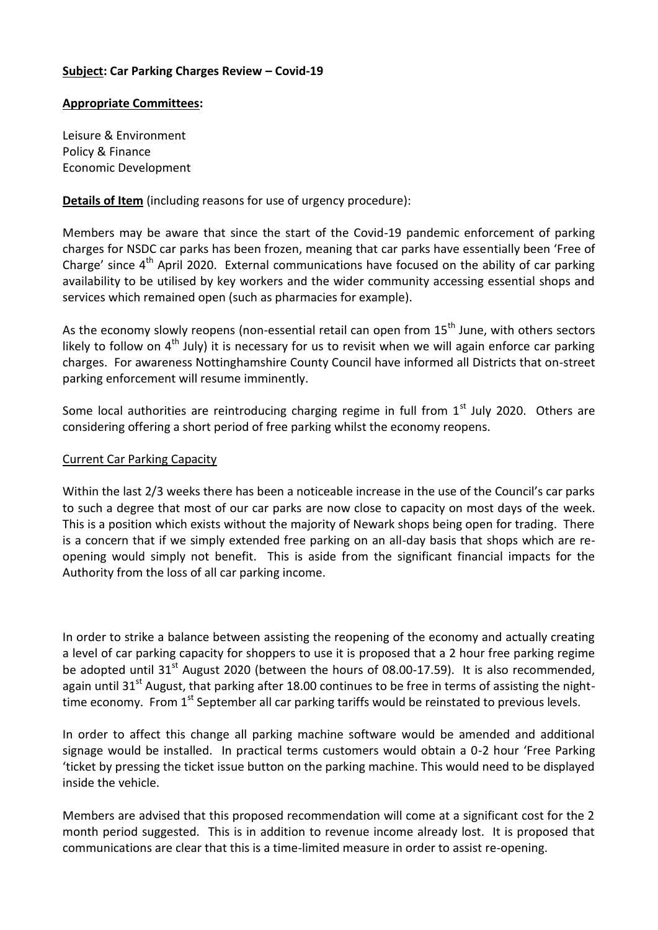## **Subject: Car Parking Charges Review – Covid-19**

## **Appropriate Committees:**

Leisure & Environment Policy & Finance Economic Development

## **Details of Item** (including reasons for use of urgency procedure):

Members may be aware that since the start of the Covid-19 pandemic enforcement of parking charges for NSDC car parks has been frozen, meaning that car parks have essentially been 'Free of Charge' since  $4<sup>th</sup>$  April 2020. External communications have focused on the ability of car parking availability to be utilised by key workers and the wider community accessing essential shops and services which remained open (such as pharmacies for example).

As the economy slowly reopens (non-essential retail can open from  $15<sup>th</sup>$  June, with others sectors likely to follow on  $4<sup>th</sup>$  July) it is necessary for us to revisit when we will again enforce car parking charges. For awareness Nottinghamshire County Council have informed all Districts that on-street parking enforcement will resume imminently.

Some local authorities are reintroducing charging regime in full from  $1<sup>st</sup>$  July 2020. Others are considering offering a short period of free parking whilst the economy reopens.

## Current Car Parking Capacity

Within the last 2/3 weeks there has been a noticeable increase in the use of the Council's car parks to such a degree that most of our car parks are now close to capacity on most days of the week. This is a position which exists without the majority of Newark shops being open for trading. There is a concern that if we simply extended free parking on an all-day basis that shops which are reopening would simply not benefit. This is aside from the significant financial impacts for the Authority from the loss of all car parking income.

In order to strike a balance between assisting the reopening of the economy and actually creating a level of car parking capacity for shoppers to use it is proposed that a 2 hour free parking regime be adopted until 31<sup>st</sup> August 2020 (between the hours of 08.00-17.59). It is also recommended, again until 31<sup>st</sup> August, that parking after 18.00 continues to be free in terms of assisting the nighttime economy. From 1<sup>st</sup> September all car parking tariffs would be reinstated to previous levels.

In order to affect this change all parking machine software would be amended and additional signage would be installed. In practical terms customers would obtain a 0-2 hour 'Free Parking 'ticket by pressing the ticket issue button on the parking machine. This would need to be displayed inside the vehicle.

Members are advised that this proposed recommendation will come at a significant cost for the 2 month period suggested. This is in addition to revenue income already lost. It is proposed that communications are clear that this is a time-limited measure in order to assist re-opening.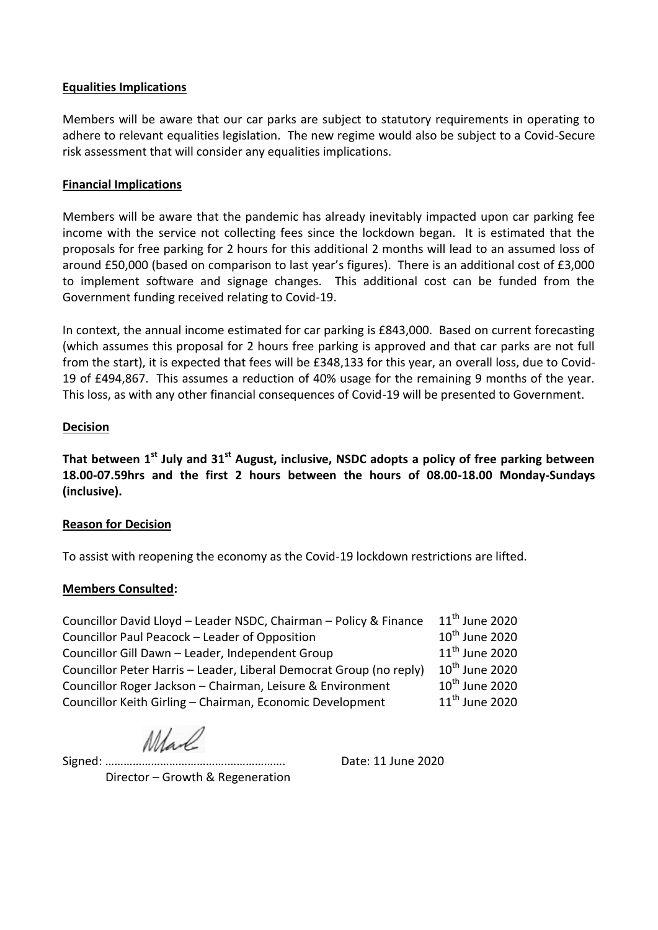## **Equalities Implications**

Members will be aware that our car parks are subject to statutory requirements in operating to adhere to relevant equalities legislation. The new regime would also be subject to a Covid-Secure risk assessment that will consider any equalities implications.

## **Financial Implications**

Members will be aware that the pandemic has already inevitably impacted upon car parking fee income with the service not collecting fees since the lockdown began. It is estimated that the proposals for free parking for 2 hours for this additional 2 months will lead to an assumed loss of around £50,000 (based on comparison to last year's figures). There is an additional cost of £3,000 to implement software and signage changes. This additional cost can be funded from the Government funding received relating to Covid-19.

In context, the annual income estimated for car parking is £843,000. Based on current forecasting (which assumes this proposal for 2 hours free parking is approved and that car parks are not full from the start), it is expected that fees will be £348,133 for this year, an overall loss, due to Covid-19 of £494,867. This assumes a reduction of 40% usage for the remaining 9 months of the year. This loss, as with any other financial consequences of Covid-19 will be presented to Government.

## **Decision**

**That between 1st July and 31st August, inclusive, NSDC adopts a policy of free parking between 18.00-07.59hrs and the first 2 hours between the hours of 08.00-18.00 Monday-Sundays (inclusive).**

## **Reason for Decision**

To assist with reopening the economy as the Covid-19 lockdown restrictions are lifted.

## **Members Consulted:**

| Councillor David Lloyd - Leader NSDC, Chairman - Policy & Finance   | $11^{th}$ June 2020        |
|---------------------------------------------------------------------|----------------------------|
| Councillor Paul Peacock - Leader of Opposition                      | $10^{th}$ June 2020        |
| Councillor Gill Dawn - Leader, Independent Group                    | $11th$ June 2020           |
| Councillor Peter Harris - Leader, Liberal Democrat Group (no reply) | $10^{\text{th}}$ June 2020 |
| Councillor Roger Jackson - Chairman, Leisure & Environment          | $10^{th}$ June 2020        |
| Councillor Keith Girling - Chairman, Economic Development           | $11th$ June 2020           |

Mad

Signed: ………………………………….………………. Date: 11 June 2020

Director – Growth & Regeneration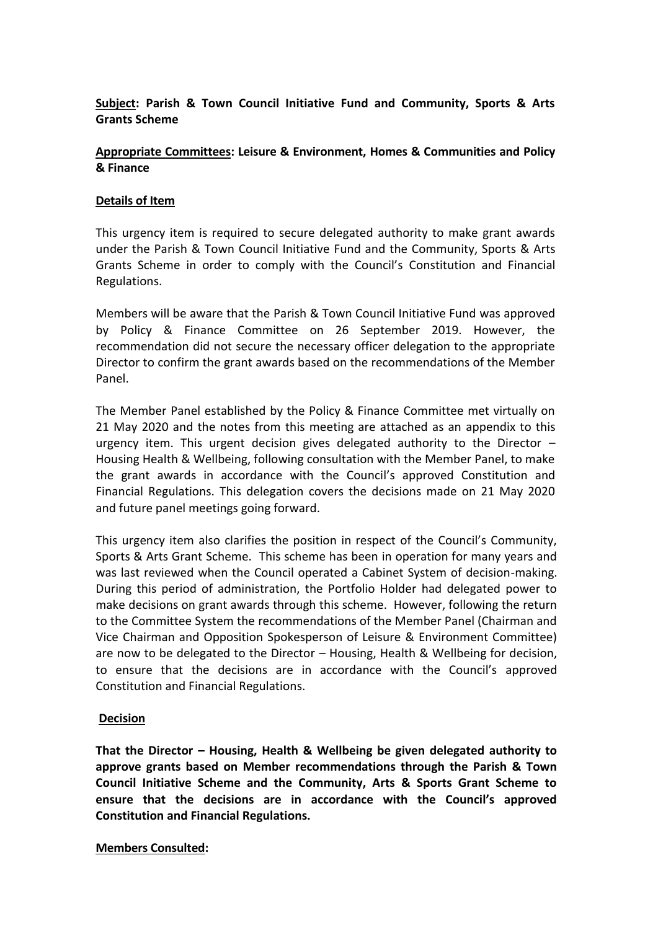# **Subject: Parish & Town Council Initiative Fund and Community, Sports & Arts Grants Scheme**

## **Appropriate Committees: Leisure & Environment, Homes & Communities and Policy & Finance**

## **Details of Item**

This urgency item is required to secure delegated authority to make grant awards under the Parish & Town Council Initiative Fund and the Community, Sports & Arts Grants Scheme in order to comply with the Council's Constitution and Financial Regulations.

Members will be aware that the Parish & Town Council Initiative Fund was approved by Policy & Finance Committee on 26 September 2019. However, the recommendation did not secure the necessary officer delegation to the appropriate Director to confirm the grant awards based on the recommendations of the Member Panel.

The Member Panel established by the Policy & Finance Committee met virtually on 21 May 2020 and the notes from this meeting are attached as an appendix to this urgency item. This urgent decision gives delegated authority to the Director  $-$ Housing Health & Wellbeing, following consultation with the Member Panel, to make the grant awards in accordance with the Council's approved Constitution and Financial Regulations. This delegation covers the decisions made on 21 May 2020 and future panel meetings going forward.

This urgency item also clarifies the position in respect of the Council's Community, Sports & Arts Grant Scheme. This scheme has been in operation for many years and was last reviewed when the Council operated a Cabinet System of decision-making. During this period of administration, the Portfolio Holder had delegated power to make decisions on grant awards through this scheme. However, following the return to the Committee System the recommendations of the Member Panel (Chairman and Vice Chairman and Opposition Spokesperson of Leisure & Environment Committee) are now to be delegated to the Director – Housing, Health & Wellbeing for decision, to ensure that the decisions are in accordance with the Council's approved Constitution and Financial Regulations.

## **Decision**

**That the Director – Housing, Health & Wellbeing be given delegated authority to approve grants based on Member recommendations through the Parish & Town Council Initiative Scheme and the Community, Arts & Sports Grant Scheme to ensure that the decisions are in accordance with the Council's approved Constitution and Financial Regulations.** 

## **Members Consulted:**